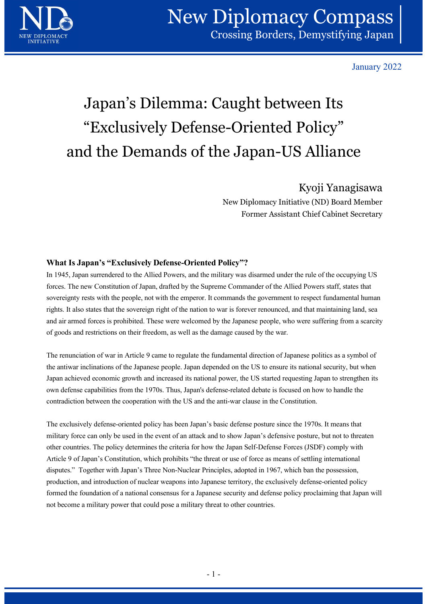

January 2022

# Japan's Dilemma: Caught between Its "Exclusively Defense-Oriented Policy" and the Demands of the Japan-US Alliance

## Kyoji Yanagisawa

New Diplomacy Initiative (ND) Board Member Former Assistant Chief Cabinet Secretary

### What Is Japan's "Exclusively Defense-Oriented Policy"?

In 1945, Japan surrendered to the Allied Powers, and the military was disarmed under the rule of the occupying US forces. The new Constitution of Japan, drafted by the Supreme Commander of the Allied Powers staff, states that sovereignty rests with the people, not with the emperor. It commands the government to respect fundamental human rights. It also states that the sovereign right of the nation to war is forever renounced, and that maintaining land, sea and air armed forces is prohibited. These were welcomed by the Japanese people, who were suffering from a scarcity of goods and restrictions on their freedom, as well as the damage caused by the war.

The renunciation of war in Article 9 came to regulate the fundamental direction of Japanese politics as a symbol of the antiwar inclinations of the Japanese people. Japan depended on the US to ensure its national security, but when Japan achieved economic growth and increased its national power, the US started requesting Japan to strengthen its own defense capabilities from the 1970s. Thus, Japan's defense-related debate is focused on how to handle the contradiction between the cooperation with the US and the anti-war clause in the Constitution.

The exclusively defense-oriented policy has been Japan's basic defense posture since the 1970s. It means that military force can only be used in the event of an attack and to show Japan's defensive posture, but not to threaten other countries. The policy determines the criteria for how the Japan Self-Defense Forces (JSDF) comply with Article 9 of Japan's Constitution, which prohibits "the threat or use of force as means of settling international disputes." Together with Japan's Three Non-Nuclear Principles, adopted in 1967, which ban the possession, production, and introduction of nuclear weapons into Japanese territory, the exclusively defense-oriented policy formed the foundation of a national consensus for a Japanese security and defense policy proclaiming that Japan will not become a military power that could pose a military threat to other countries. defense-related debate is focused on how to handle the<br>the anti-war clause in the Constitution.<br>
"s basic defense posture since the 1970s. It means that<br>
and to show Japan's defensive posture, but not to threaten<br>
ow the J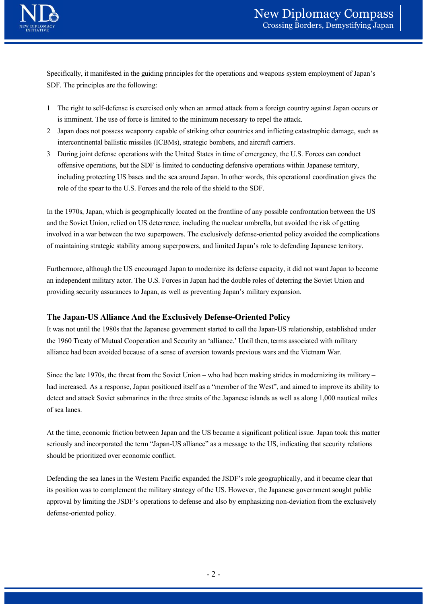

Specifically, it manifested in the guiding principles for the operations and weapons system employment of Japan's SDF. The principles are the following: 1 **Interact of the right to self-defense is exercised only when an armed attack from a foreign country against Japan occurs or is imminent. The use of force is limited to the minimum necessary to repel the attack.<br>
1 The r** 

- is imminent. The use of force is limited to the minimum necessary to repel the attack.
- intercontinental ballistic missiles (ICBMs), strategic bombers, and aircraft carriers.
- **2**<br>
2 Specifically, it manifested in the guiding principles for the operations and weapons system employment of Japan's<br>
2 Japan does are the following:<br>
2 Japan does not possess weaponry capable of striking other countri 3 During joint defense operations with the United States in time of emergency, the DSDF.<br>Specifically, it manifested in the guiding principles for the operations and weapons system employment of Japan's<br>SDF. The principles offensive operations, but the SDF is limited to conducting defensive operations within Japanese territory, including protecting US bases and the sea around Japan. In other words, this operational coordination gives the role of the spear to the U.S. Forces and the role of the shield to the SDF.

In the 1970s, Japan, which is geographically located on the frontline of any possible confrontation between the US and the Soviet Union, relied on US deterrence, including the nuclear umbrella, but avoided the risk of getting involved in a war between the two superpowers. The exclusively defense-oriented policy avoided the complications of maintaining strategic stability among superpowers, and limited Japan's role to defending Japanese territory. From the 1970s, Japan, which is geographically located on the frontline of any possible confrontation between the US<br>and the Soviet Union, relied on US deterrence, including the nuclear umbrella, but avoided the risk of ge In the 1970s, Japan, which is geographically located on the frontline of any possible confrontation between the US<br>and the Soviet Union, relied on US deterrence, including the nuclear umbrella, but avoided the risk of gett

Furthermore, although the US encouraged Japan to modernize its defense capacity, it did not want Japan to become an independent military actor. The U.S. Forces in Japan had the double roles of deterring the Soviet Union and providing security assurances to Japan, as well as preventing Japan's military expansion.

#### The Japan-US Alliance And the Exclusively Defense-Oriented Policy

It was not until the 1980s that the Japanese government started to call the Japan-US relationship, established under the 1960 Treaty of Mutual Cooperation and Security an 'alliance.' Until then, terms associated with military alliance had been avoided because of a sense of aversion towards previous wars and the Vietnam War.

detect and attack Soviet submarines in the three straits of the Japanese islands as well as along 1,000 nautical miles of sea lanes.

At the time, economic friction between Japan and the US became a significant political issue. Japan took this matter seriously and incorporated the term "Japan-US alliance" as a message to the US, indicating that security relations should be prioritized over economic conflict.

Defending the sea lanes in the Western Pacific expanded the JSDF's role geographically, and it became clear that its position was to complement the military strategy of the US. However, the Japanese government sought public The Japan-US Alliance And the Exclusively Defense-Oriented Policy<br>It was not until the 1980s hat the Japanes government stared to call the Japan-US relationship, established under<br>the 1960 Treaty of Mutual Cooperation and defense-oriented policy. a member of the west, and dimet to improve is ability to<br>the Japanese islands as well as along 1,000 nautical miles<br>S became a significant political issue. Japan took this matter<br>'as a message to the US, indicating that se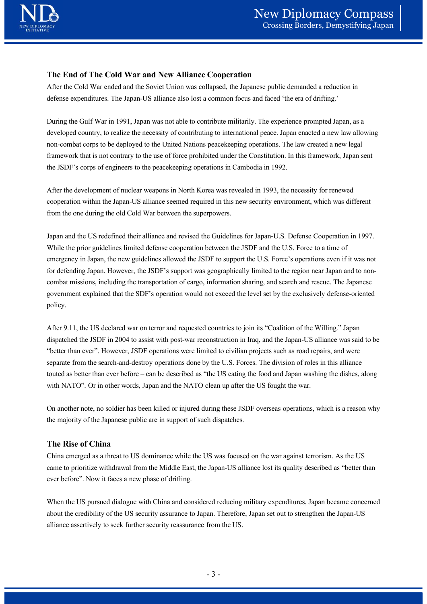#### The End of The Cold War and New Alliance Cooperation

After the Cold War ended and the Soviet Union was collapsed, the Japanese public demanded a reduction in defense expenditures. The Japan-US alliance also lost a common focus and faced 'the era of drifting.'

During the Gulf War in 1991, Japan was not able to contribute militarily. The experience prompted Japan, as a developed country, to realize the necessity of contributing to international peace. Japan enacted a new law allowing non-combat corps to be deployed to the United Nations peacekeeping operations. The law created a new legal framework that is not contrary to the use of force prohibited under the Constitution. In this framework, Japan sent the JSDF's corps of engineers to the peacekeeping operations in Cambodia in 1992.

After the development of nuclear weapons in North Korea was revealed in 1993, the necessity for renewed cooperation within the Japan-US alliance seemed required in this new security environment, which was different from the one during the old Cold War between the superpowers.

Japan and the US redefined their alliance and revised the Guidelines for Japan-U.S. Defense Cooperation in 1997. While the prior guidelines limited defense cooperation between the JSDF and the U.S. Force to a time of emergency in Japan, the new guidelines allowed the JSDF to support the U.S. Force's operations even if it was not for defending Japan. However, the JSDF's support was geographically limited to the region near Japan and to noncombat missions, including the transportation of cargo, information sharing, and search and rescue. The Japanese government explained that the SDF's operation would not exceed the level set by the exclusively defense-oriented policy. the JSDF's corps of engineers to the peacekceping operations in Cambodia in 1992,<br>After the development of nuclear weapons in North Korea was revealed in 1993, the necessity for renewed<br>cooperation within the Japan-US alli After the development of nuclear weapons in Nonfh Korea was revealed in 1993, the necessity for renewed<br>cooperation within the Japan-US alliners esemed required in this new security ewironment, which was different<br>from the Japan and the US redefined their alliance and revised the Guidelines for Japan-U.S. Defense Coo<br>While the prior guidelines limited defense cooperation between the JSDF and the U.S. Force to a<br>emergency in Japan, the new gu

After 9.11, the US declared war on terror and requested countries to join its "Coalition of the Willing." Japan dispatched the JSDF in 2004 to assist with post-war reconstruction in Iraq, and the Japan-US alliance was said to be separate from the search-and-destroy operations done by the U.S. Forces. The division of roles in this alliance – with NATO". Or in other words, Japan and the NATO clean up after the US fought the war.

On another note, no soldier has been killed or injured during these JSDF overseas operations, which is a reason why

#### The Rise of China

China emerged as a threat to US dominance while the US was focused on the war against terrorism. As the US came to prioritize withdrawal from the Middle East, the Japan-US alliance lost its quality described as "better than ever before". Now it faces a new phase of drifting.

When the US pursued dialogue with China and considered reducing military expenditures, Japan became concerned about the credibility of the US security assurance to Japan. Therefore, Japan set out to strengthen the Japan-US alliance assertively to seek further security reassurance from the US. The same of the set of the set of the set of the set of the set of the set of the set of the set of the set of the set of the set of the set of the set of the set of the set of the set of the set of the set of the set of r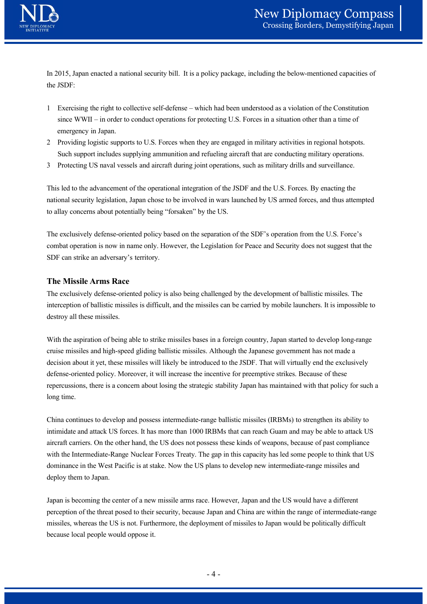

In 2015, Japan enacted a national security bill. It is a policy package, including the below-mentioned capacities of the JSDF:

- 1 Exercising the right to collective self-defense which had been understood as a violation of the Constitution<br>
1 Exercising the right to collective self-defense which had been understood as a violation of the Constitu Since WWI – in order to conduct operations in the specifical operations, being the below-mentioned capacities of U.S. Japan enacted a national security bill. It is a policy package, including the below-mentioned capacities emergency in Japan. **2 Providing logistic supports to U.S. Forces when they are engaged in military activities in regional hotspots.**<br>The 2015, Japan enacted a national security bill. It is a policy package, including the below-mentioned capa **3 Protecting US naval vessels and aircraft during joint operations, and the USE of the USDF:**<br>
16.2015, Japan enacted a national security bill. It is a policy package, including the below-mentioned capacities of<br>
16.2015,
- Such support includes supplying ammunition and refueling aircraft that are conducting military operations.
- 

This led to the advancement of the operational integration of the JSDF and the U.S. Forces. By enacting the national security legislation, Japan chose to be involved in wars launched by US armed forces, and thus attempted to allay concerns about potentially being "forsaken" by the US.

The exclusively defense-oriented policy based on the separation of the SDF's operation from the U.S. Force's combat operation is now in name only. However, the Legislation for Peace and Security does not suggest that the SDF can strike an adversary's territory.

#### The Missile Arms Race

The exclusively defense-oriented policy is also being challenged by the development of ballistic missiles. The interception of ballistic missiles is difficult, and the missiles can be carried by mobile launchers. It is impossible to destroy all these missiles.

With the aspiration of being able to strike missiles bases in a foreign country, Japan started to develop long-range cruise missiles and high-speed gliding ballistic missiles. Although the Japanese government has not made a This led to the advancement of the operational integration of the JSDF and the U.S. Forces. By enacting the mational security legislation, Japan chose to be involved in wars launched by US armed forces, and thus attempted defense-oriented policy. Moreover, it will increase the incentive for preemptive strikes. Because of these repercussions, there is a concern about losing the strategic stability Japan has maintained with that policy for such a long time.

China continues to develop and possess intermediate-range ballistic missiles (IRBMs) to strengthen its ability to intimidate and attack US forces. It has more than 1000 IRBMs that can reach Guam and may be able to attack US aircraft carriers. On the other hand, the US does not possess these kinds of weapons, because of past compliance with the Intermediate-Range Nuclear Forces Treaty. The gap in this capacity has led some people to think that US dominance in the West Pacific is at stake. Now the US plans to develop new intermediate-range missiles and deploy them to Japan. mannly step and the anti-mannled what into provide the solution of the RBMs that can reach Guam and may be able to attack US<br>RBMs that can reach Guam and may be able to attack US<br>sess these kinds of weapons, because of pas

Japan is becoming the center of a new missile arms race. However, Japan and the US would have a different perception of the threat posed to their security, because Japan and China are within the range of intermediate-range missiles, whereas the US is not. Furthermore, the deployment of missiles to Japan would be politically difficult because local people would oppose it.